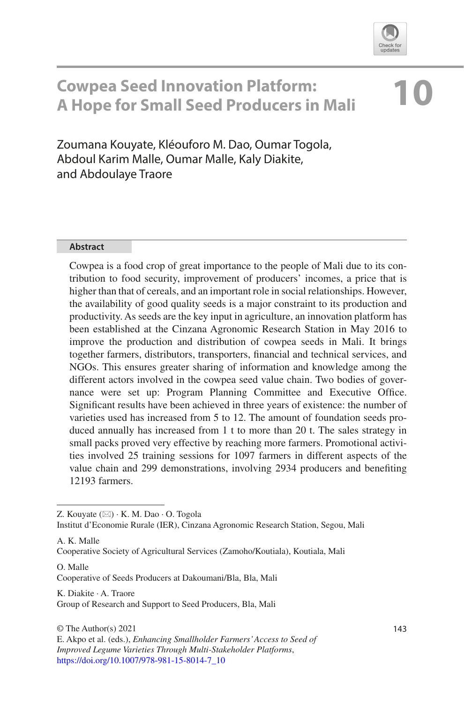

# **10 Cowpea Seed Innovation Platform: A Hope for Small Seed Producers in Mali**

Zoumana Kouyate, Kléouforo M. Dao, Oumar Togola, Abdoul Karim Malle, Oumar Malle, Kaly Diakite, and Abdoulaye Traore

#### **Abstract**

Cowpea is a food crop of great importance to the people of Mali due to its contribution to food security, improvement of producers' incomes, a price that is higher than that of cereals, and an important role in social relationships. However, the availability of good quality seeds is a major constraint to its production and productivity. As seeds are the key input in agriculture, an innovation platform has been established at the Cinzana Agronomic Research Station in May 2016 to improve the production and distribution of cowpea seeds in Mali. It brings together farmers, distributors, transporters, fnancial and technical services, and NGOs. This ensures greater sharing of information and knowledge among the different actors involved in the cowpea seed value chain. Two bodies of governance were set up: Program Planning Committee and Executive Office. Signifcant results have been achieved in three years of existence: the number of varieties used has increased from 5 to 12. The amount of foundation seeds produced annually has increased from 1 t to more than 20 t. The sales strategy in small packs proved very effective by reaching more farmers. Promotional activities involved 25 training sessions for 1097 farmers in different aspects of the value chain and 299 demonstrations, involving 2934 producers and benefting 12193 farmers.

Institut d'Economie Rurale (IER), Cinzana Agronomic Research Station, Segou, Mali

A. K. Malle

Cooperative Society of Agricultural Services (Zamoho/Koutiala), Koutiala, Mali

O. Malle Cooperative of Seeds Producers at Dakoumani/Bla, Bla, Mali

K. Diakite · A. Traore Group of Research and Support to Seed Producers, Bla, Mali

Z. Kouyate  $(\boxtimes) \cdot$  K. M. Dao  $\cdot$  O. Togola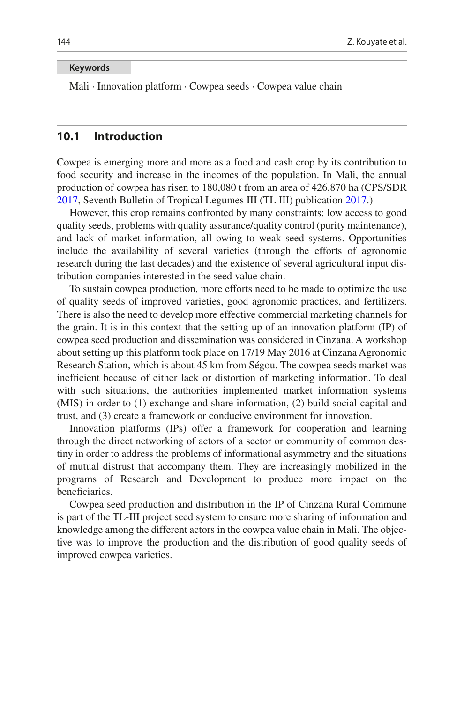#### **Keywords**

Mali · Innovation platform · Cowpea seeds · Cowpea value chain

## **10.1 Introduction**

Cowpea is emerging more and more as a food and cash crop by its contribution to food security and increase in the incomes of the population. In Mali, the annual production of cowpea has risen to 180,080 t from an area of 426,870 ha (CPS/SDR [2017,](#page-13-0) Seventh Bulletin of Tropical Legumes III (TL III) publication [2017](#page-13-1).)

However, this crop remains confronted by many constraints: low access to good quality seeds, problems with quality assurance/quality control (purity maintenance), and lack of market information, all owing to weak seed systems. Opportunities include the availability of several varieties (through the efforts of agronomic research during the last decades) and the existence of several agricultural input distribution companies interested in the seed value chain.

To sustain cowpea production, more efforts need to be made to optimize the use of quality seeds of improved varieties, good agronomic practices, and fertilizers. There is also the need to develop more effective commercial marketing channels for the grain. It is in this context that the setting up of an innovation platform (IP) of cowpea seed production and dissemination was considered in Cinzana. A workshop about setting up this platform took place on 17/19 May 2016 at Cinzana Agronomic Research Station, which is about 45 km from Ségou. The cowpea seeds market was inefficient because of either lack or distortion of marketing information. To deal with such situations, the authorities implemented market information systems (MIS) in order to (1) exchange and share information, (2) build social capital and trust, and (3) create a framework or conducive environment for innovation.

Innovation platforms (IPs) offer a framework for cooperation and learning through the direct networking of actors of a sector or community of common destiny in order to address the problems of informational asymmetry and the situations of mutual distrust that accompany them. They are increasingly mobilized in the programs of Research and Development to produce more impact on the beneficiaries.

Cowpea seed production and distribution in the IP of Cinzana Rural Commune is part of the TL-III project seed system to ensure more sharing of information and knowledge among the different actors in the cowpea value chain in Mali. The objective was to improve the production and the distribution of good quality seeds of improved cowpea varieties.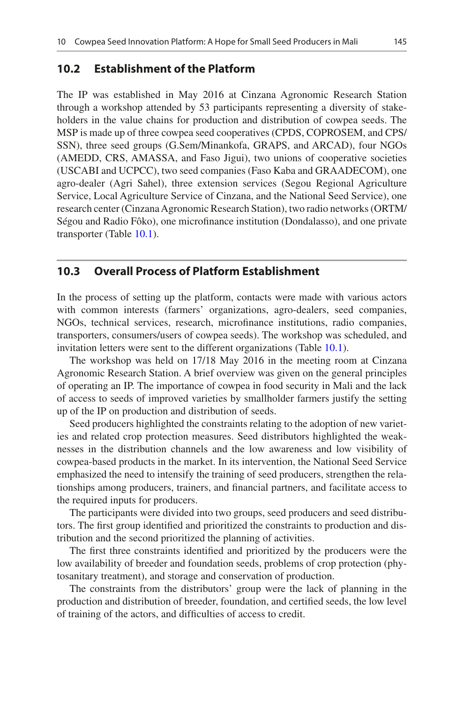#### **10.2 Establishment of the Platform**

The IP was established in May 2016 at Cinzana Agronomic Research Station through a workshop attended by 53 participants representing a diversity of stakeholders in the value chains for production and distribution of cowpea seeds. The MSP is made up of three cowpea seed cooperatives (CPDS, COPROSEM, and CPS/ SSN), three seed groups (G.Sem/Minankofa, GRAPS, and ARCAD), four NGOs (AMEDD, CRS, AMASSA, and Faso Jigui), two unions of cooperative societies (USCABI and UCPCC), two seed companies (Faso Kaba and GRAADECOM), one agro-dealer (Agri Sahel), three extension services (Segou Regional Agriculture Service, Local Agriculture Service of Cinzana, and the National Seed Service), one research center (Cinzana Agronomic Research Station), two radio networks (ORTM/ Ségou and Radio Fôko), one microfnance institution (Dondalasso), and one private transporter (Table [10.1\)](#page-3-0).

#### **10.3 Overall Process of Platform Establishment**

In the process of setting up the platform, contacts were made with various actors with common interests (farmers' organizations, agro-dealers, seed companies, NGOs, technical services, research, microfnance institutions, radio companies, transporters, consumers/users of cowpea seeds). The workshop was scheduled, and invitation letters were sent to the different organizations (Table [10.1\)](#page-3-0).

The workshop was held on 17/18 May 2016 in the meeting room at Cinzana Agronomic Research Station. A brief overview was given on the general principles of operating an IP. The importance of cowpea in food security in Mali and the lack of access to seeds of improved varieties by smallholder farmers justify the setting up of the IP on production and distribution of seeds.

Seed producers highlighted the constraints relating to the adoption of new varieties and related crop protection measures. Seed distributors highlighted the weaknesses in the distribution channels and the low awareness and low visibility of cowpea-based products in the market. In its intervention, the National Seed Service emphasized the need to intensify the training of seed producers, strengthen the relationships among producers, trainers, and fnancial partners, and facilitate access to the required inputs for producers.

The participants were divided into two groups, seed producers and seed distributors. The frst group identifed and prioritized the constraints to production and distribution and the second prioritized the planning of activities.

The frst three constraints identifed and prioritized by the producers were the low availability of breeder and foundation seeds, problems of crop protection (phytosanitary treatment), and storage and conservation of production.

The constraints from the distributors' group were the lack of planning in the production and distribution of breeder, foundation, and certifed seeds, the low level of training of the actors, and diffculties of access to credit.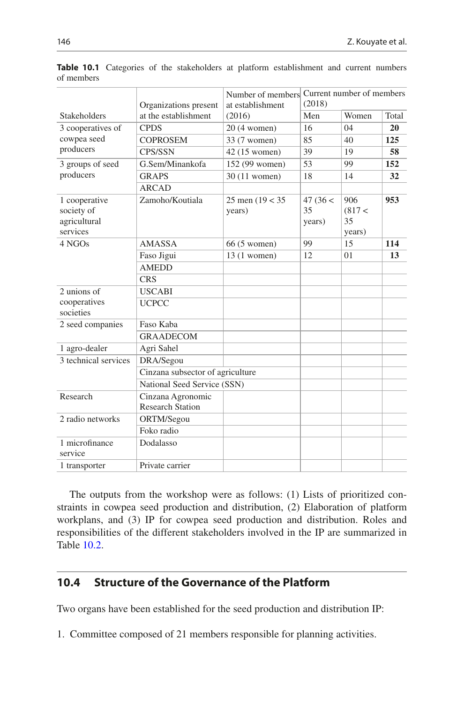|                                                         | Organizations present                        | Number of members<br>at establishment | Current number of members<br>(2018) |                              |       |
|---------------------------------------------------------|----------------------------------------------|---------------------------------------|-------------------------------------|------------------------------|-------|
| <b>Stakeholders</b>                                     | at the establishment                         | (2016)                                | Men                                 | Women                        | Total |
| 3 cooperatives of<br>cowpea seed<br>producers           | <b>CPDS</b>                                  | 20 (4 women)                          | 16                                  | 04                           | 20    |
|                                                         | <b>COPROSEM</b>                              | 33 (7 women)                          | 85                                  | 40                           | 125   |
|                                                         | CPS/SSN                                      | 42 (15 women)                         | 39                                  | 19                           | 58    |
| 3 groups of seed<br>producers                           | G.Sem/Minankofa                              | 152 (99 women)                        | 53                                  | 99                           | 152   |
|                                                         | <b>GRAPS</b>                                 | 30 (11 women)                         | 18                                  | 14                           | 32    |
|                                                         | <b>ARCAD</b>                                 |                                       |                                     |                              |       |
| 1 cooperative<br>society of<br>agricultural<br>services | Zamoho/Koutiala                              | 25 men $(19 < 35$<br>years)           | 47 (36 <<br>35<br>years)            | 906<br>(817<<br>35<br>years) | 953   |
| 4 NGOs                                                  | <b>AMASSA</b>                                | 66 (5 women)                          | 99                                  | 15                           | 114   |
|                                                         | Faso Jigui                                   | $13(1$ women)                         | 12                                  | 01                           | 13    |
|                                                         | <b>AMEDD</b>                                 |                                       |                                     |                              |       |
|                                                         | <b>CRS</b>                                   |                                       |                                     |                              |       |
| 2 unions of                                             | <b>USCABI</b>                                |                                       |                                     |                              |       |
| cooperatives<br>societies                               | <b>UCPCC</b>                                 |                                       |                                     |                              |       |
| 2 seed companies                                        | Faso Kaba                                    |                                       |                                     |                              |       |
|                                                         | <b>GRAADECOM</b>                             |                                       |                                     |                              |       |
| 1 agro-dealer                                           | Agri Sahel                                   |                                       |                                     |                              |       |
| 3 technical services                                    | DRA/Segou                                    |                                       |                                     |                              |       |
|                                                         | Cinzana subsector of agriculture             |                                       |                                     |                              |       |
|                                                         | National Seed Service (SSN)                  |                                       |                                     |                              |       |
| Research                                                | Cinzana Agronomic<br><b>Research Station</b> |                                       |                                     |                              |       |
| 2 radio networks                                        | ORTM/Segou                                   |                                       |                                     |                              |       |
|                                                         | Foko radio                                   |                                       |                                     |                              |       |
| 1 microfinance<br>service                               | Dodalasso                                    |                                       |                                     |                              |       |
| 1 transporter                                           | Private carrier                              |                                       |                                     |                              |       |

<span id="page-3-0"></span>**Table 10.1** Categories of the stakeholders at platform establishment and current numbers of members

The outputs from the workshop were as follows: (1) Lists of prioritized constraints in cowpea seed production and distribution, (2) Elaboration of platform workplans, and (3) IP for cowpea seed production and distribution. Roles and responsibilities of the different stakeholders involved in the IP are summarized in Table [10.2.](#page-4-0)

## **10.4 Structure of the Governance of the Platform**

Two organs have been established for the seed production and distribution IP:

1. Committee composed of 21 members responsible for planning activities.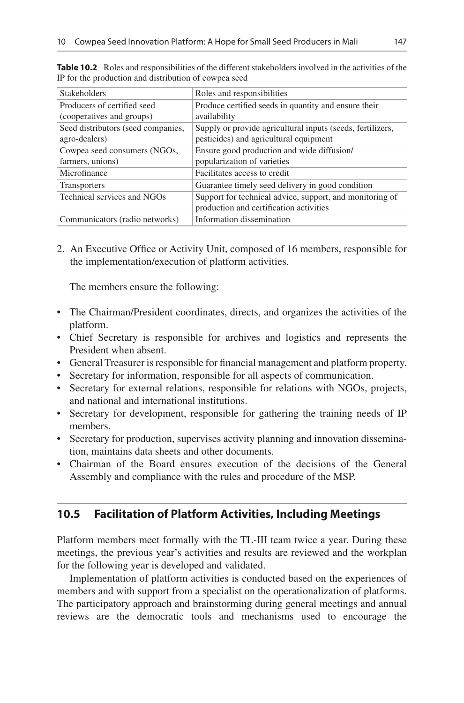| <b>Stakeholders</b>                                      | Roles and responsibilities                                                                           |  |  |
|----------------------------------------------------------|------------------------------------------------------------------------------------------------------|--|--|
| Producers of certified seed<br>(cooperatives and groups) | Produce certified seeds in quantity and ensure their<br>availability                                 |  |  |
| Seed distributors (seed companies,<br>agro-dealers)      | Supply or provide agricultural inputs (seeds, fertilizers,<br>pesticides) and agricultural equipment |  |  |
| Cowpea seed consumers (NGOs,                             | Ensure good production and wide diffusion/                                                           |  |  |
| farmers, unions)                                         | popularization of varieties                                                                          |  |  |
| Microfinance                                             | Facilitates access to credit                                                                         |  |  |
| <b>Transporters</b>                                      | Guarantee timely seed delivery in good condition                                                     |  |  |
| Technical services and NGOs                              | Support for technical advice, support, and monitoring of<br>production and certification activities  |  |  |
| Communicators (radio networks)                           | Information dissemination                                                                            |  |  |

<span id="page-4-0"></span>**Table 10.2** Roles and responsibilities of the different stakeholders involved in the activities of the IP for the production and distribution of cowpea seed

2. An Executive Offce or Activity Unit, composed of 16 members, responsible for the implementation/execution of platform activities.

The members ensure the following:

- The Chairman/President coordinates, directs, and organizes the activities of the platform.
- Chief Secretary is responsible for archives and logistics and represents the President when absent.
- General Treasurer is responsible for fnancial management and platform property.
- Secretary for information, responsible for all aspects of communication.
- Secretary for external relations, responsible for relations with NGOs, projects, and national and international institutions.
- Secretary for development, responsible for gathering the training needs of IP members.
- Secretary for production, supervises activity planning and innovation dissemination, maintains data sheets and other documents.
- Chairman of the Board ensures execution of the decisions of the General Assembly and compliance with the rules and procedure of the MSP.

# **10.5 Facilitation of Platform Activities, Including Meetings**

Platform members meet formally with the TL-III team twice a year. During these meetings, the previous year's activities and results are reviewed and the workplan for the following year is developed and validated.

Implementation of platform activities is conducted based on the experiences of members and with support from a specialist on the operationalization of platforms. The participatory approach and brainstorming during general meetings and annual reviews are the democratic tools and mechanisms used to encourage the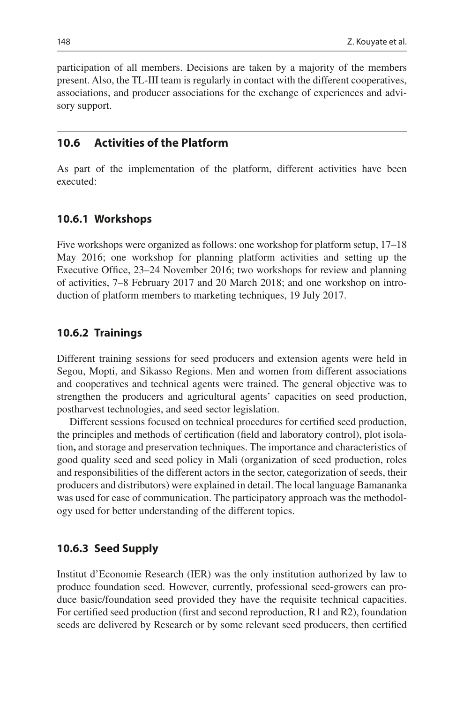participation of all members. Decisions are taken by a majority of the members present. Also, the TL-III team is regularly in contact with the different cooperatives, associations, and producer associations for the exchange of experiences and advisory support.

## **10.6 Activities of the Platform**

As part of the implementation of the platform, different activities have been executed:

#### **10.6.1 Workshops**

Five workshops were organized as follows: one workshop for platform setup, 17–18 May 2016; one workshop for planning platform activities and setting up the Executive Office, 23–24 November 2016; two workshops for review and planning of activities, 7–8 February 2017 and 20 March 2018; and one workshop on introduction of platform members to marketing techniques, 19 July 2017.

#### **10.6.2 Trainings**

Different training sessions for seed producers and extension agents were held in Segou, Mopti, and Sikasso Regions. Men and women from different associations and cooperatives and technical agents were trained. The general objective was to strengthen the producers and agricultural agents' capacities on seed production, postharvest technologies, and seed sector legislation.

Different sessions focused on technical procedures for certifed seed production, the principles and methods of certifcation (feld and laboratory control), plot isolation**,** and storage and preservation techniques. The importance and characteristics of good quality seed and seed policy in Mali (organization of seed production, roles and responsibilities of the different actors in the sector, categorization of seeds, their producers and distributors) were explained in detail. The local language Bamananka was used for ease of communication. The participatory approach was the methodology used for better understanding of the different topics.

#### **10.6.3 Seed Supply**

Institut d'Economie Research (IER) was the only institution authorized by law to produce foundation seed. However, currently, professional seed-growers can produce basic/foundation seed provided they have the requisite technical capacities. For certifed seed production (frst and second reproduction, R1 and R2), foundation seeds are delivered by Research or by some relevant seed producers, then certifed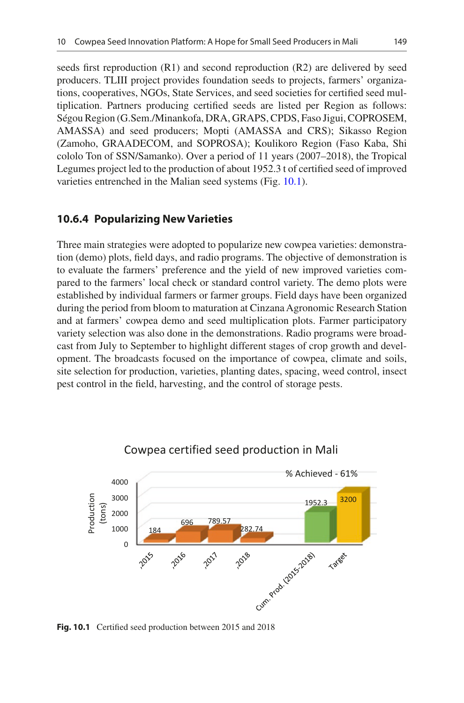seeds frst reproduction (R1) and second reproduction (R2) are delivered by seed producers. TLIII project provides foundation seeds to projects, farmers' organizations, cooperatives, NGOs, State Services, and seed societies for certifed seed multiplication. Partners producing certifed seeds are listed per Region as follows: Ségou Region (G.Sem./Minankofa, DRA, GRAPS, CPDS, Faso Jigui, COPROSEM, AMASSA) and seed producers; Mopti (AMASSA and CRS); Sikasso Region (Zamoho, GRAADECOM, and SOPROSA); Koulikoro Region (Faso Kaba, Shi cololo Ton of SSN/Samanko). Over a period of 11 years (2007–2018), the Tropical Legumes project led to the production of about 1952.3 t of certifed seed of improved varieties entrenched in the Malian seed systems (Fig. [10.1\)](#page-6-0).

#### **10.6.4 Popularizing New Varieties**

Three main strategies were adopted to popularize new cowpea varieties: demonstration (demo) plots, feld days, and radio programs. The objective of demonstration is to evaluate the farmers' preference and the yield of new improved varieties compared to the farmers' local check or standard control variety. The demo plots were established by individual farmers or farmer groups. Field days have been organized during the period from bloom to maturation at Cinzana Agronomic Research Station and at farmers' cowpea demo and seed multiplication plots. Farmer participatory variety selection was also done in the demonstrations. Radio programs were broadcast from July to September to highlight different stages of crop growth and development. The broadcasts focused on the importance of cowpea, climate and soils, site selection for production, varieties, planting dates, spacing, weed control, insect pest control in the feld, harvesting, and the control of storage pests.

<span id="page-6-0"></span>

#### Cowpea certified seed production in Mali

**Fig. 10.1** Certifed seed production between 2015 and 2018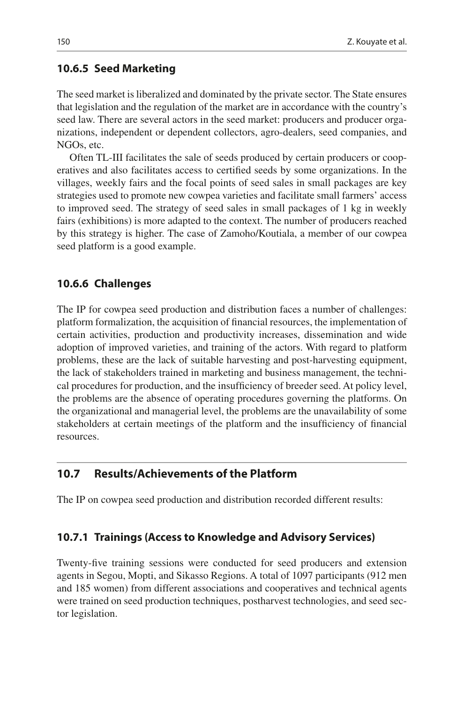#### **10.6.5 Seed Marketing**

The seed market is liberalized and dominated by the private sector. The State ensures that legislation and the regulation of the market are in accordance with the country's seed law. There are several actors in the seed market: producers and producer organizations, independent or dependent collectors, agro-dealers, seed companies, and NGOs, etc.

Often TL-III facilitates the sale of seeds produced by certain producers or cooperatives and also facilitates access to certifed seeds by some organizations. In the villages, weekly fairs and the focal points of seed sales in small packages are key strategies used to promote new cowpea varieties and facilitate small farmers' access to improved seed. The strategy of seed sales in small packages of 1 kg in weekly fairs (exhibitions) is more adapted to the context. The number of producers reached by this strategy is higher. The case of Zamoho/Koutiala, a member of our cowpea seed platform is a good example.

#### **10.6.6 Challenges**

The IP for cowpea seed production and distribution faces a number of challenges: platform formalization, the acquisition of fnancial resources, the implementation of certain activities, production and productivity increases, dissemination and wide adoption of improved varieties, and training of the actors. With regard to platform problems, these are the lack of suitable harvesting and post-harvesting equipment, the lack of stakeholders trained in marketing and business management, the technical procedures for production, and the insuffciency of breeder seed. At policy level, the problems are the absence of operating procedures governing the platforms. On the organizational and managerial level, the problems are the unavailability of some stakeholders at certain meetings of the platform and the insuffciency of fnancial resources.

## **10.7 Results/Achievements of the Platform**

The IP on cowpea seed production and distribution recorded different results:

#### **10.7.1 Trainings (Access to Knowledge and Advisory Services)**

Twenty-fve training sessions were conducted for seed producers and extension agents in Segou, Mopti, and Sikasso Regions. A total of 1097 participants (912 men and 185 women) from different associations and cooperatives and technical agents were trained on seed production techniques, postharvest technologies, and seed sector legislation.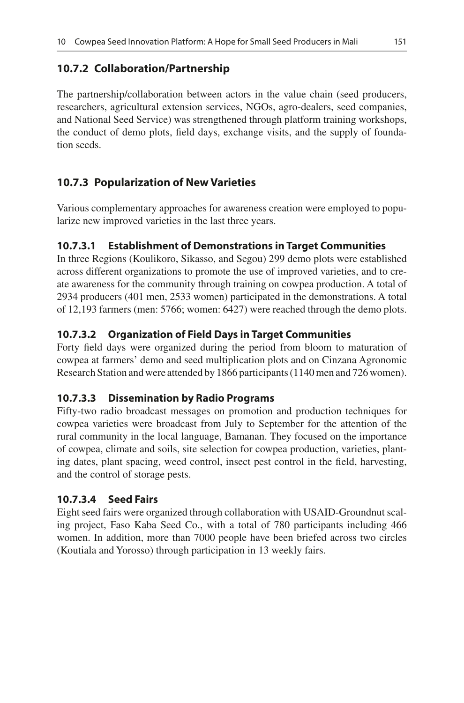## **10.7.2 Collaboration/Partnership**

The partnership/collaboration between actors in the value chain (seed producers, researchers, agricultural extension services, NGOs, agro-dealers, seed companies, and National Seed Service) was strengthened through platform training workshops, the conduct of demo plots, feld days, exchange visits, and the supply of foundation seeds.

# **10.7.3 Popularization of New Varieties**

Various complementary approaches for awareness creation were employed to popularize new improved varieties in the last three years.

## **10.7.3.1 Establishment of Demonstrations in Target Communities**

In three Regions (Koulikoro, Sikasso, and Segou) 299 demo plots were established across different organizations to promote the use of improved varieties, and to create awareness for the community through training on cowpea production. A total of 2934 producers (401 men, 2533 women) participated in the demonstrations. A total of 12,193 farmers (men: 5766; women: 6427) were reached through the demo plots.

## **10.7.3.2 Organization of Field Days in Target Communities**

Forty feld days were organized during the period from bloom to maturation of cowpea at farmers' demo and seed multiplication plots and on Cinzana Agronomic Research Station and were attended by 1866 participants (1140 men and 726 women).

#### **10.7.3.3 Dissemination by Radio Programs**

Fifty-two radio broadcast messages on promotion and production techniques for cowpea varieties were broadcast from July to September for the attention of the rural community in the local language, Bamanan. They focused on the importance of cowpea, climate and soils, site selection for cowpea production, varieties, planting dates, plant spacing, weed control, insect pest control in the feld, harvesting, and the control of storage pests.

#### **10.7.3.4 Seed Fairs**

Eight seed fairs were organized through collaboration with USAID-Groundnut scaling project, Faso Kaba Seed Co., with a total of 780 participants including 466 women. In addition, more than 7000 people have been briefed across two circles (Koutiala and Yorosso) through participation in 13 weekly fairs.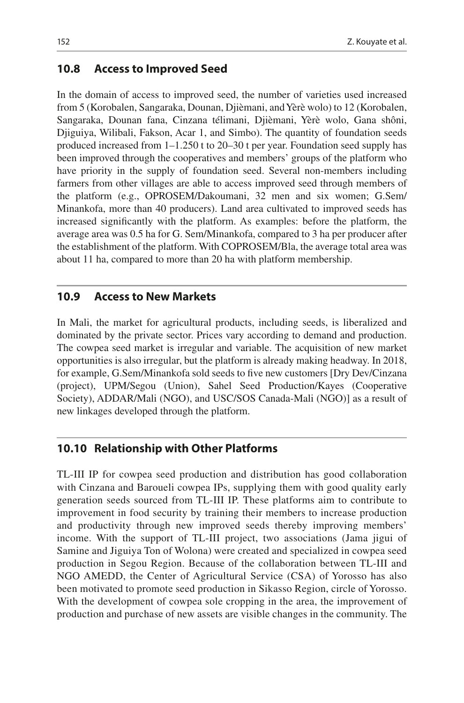#### **10.8 Access to Improved Seed**

In the domain of access to improved seed, the number of varieties used increased from 5 (Korobalen, Sangaraka, Dounan, Djièmani, and Yèrè wolo) to 12 (Korobalen, Sangaraka, Dounan fana, Cinzana télimani, Djièmani, Yèrè wolo, Gana shôni, Djiguiya, Wilibali, Fakson, Acar 1, and Simbo). The quantity of foundation seeds produced increased from 1–1.250 t to 20–30 t per year. Foundation seed supply has been improved through the cooperatives and members' groups of the platform who have priority in the supply of foundation seed. Several non-members including farmers from other villages are able to access improved seed through members of the platform (e.g., OPROSEM/Dakoumani, 32 men and six women; G.Sem/ Minankofa, more than 40 producers). Land area cultivated to improved seeds has increased signifcantly with the platform. As examples: before the platform, the average area was 0.5 ha for G. Sem/Minankofa, compared to 3 ha per producer after the establishment of the platform. With COPROSEM/Bla, the average total area was about 11 ha, compared to more than 20 ha with platform membership.

## **10.9 Access to New Markets**

In Mali, the market for agricultural products, including seeds, is liberalized and dominated by the private sector. Prices vary according to demand and production. The cowpea seed market is irregular and variable. The acquisition of new market opportunities is also irregular, but the platform is already making headway. In 2018, for example, G.Sem/Minankofa sold seeds to fve new customers [Dry Dev/Cinzana (project), UPM/Segou (Union), Sahel Seed Production/Kayes (Cooperative Society), ADDAR/Mali (NGO), and USC/SOS Canada-Mali (NGO)] as a result of new linkages developed through the platform.

#### **10.10 Relationship with Other Platforms**

TL-III IP for cowpea seed production and distribution has good collaboration with Cinzana and Baroueli cowpea IPs, supplying them with good quality early generation seeds sourced from TL-III IP. These platforms aim to contribute to improvement in food security by training their members to increase production and productivity through new improved seeds thereby improving members' income. With the support of TL-III project, two associations (Jama jigui of Samine and Jiguiya Ton of Wolona) were created and specialized in cowpea seed production in Segou Region. Because of the collaboration between TL-III and NGO AMEDD, the Center of Agricultural Service (CSA) of Yorosso has also been motivated to promote seed production in Sikasso Region, circle of Yorosso. With the development of cowpea sole cropping in the area, the improvement of production and purchase of new assets are visible changes in the community. The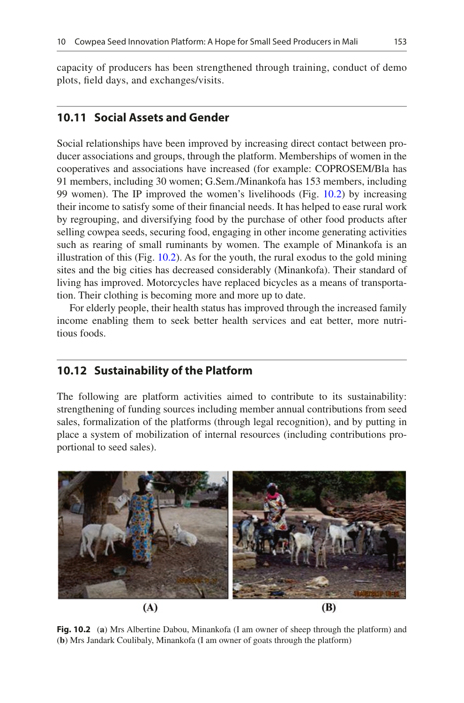capacity of producers has been strengthened through training, conduct of demo plots, feld days, and exchanges/visits.

## **10.11 Social Assets and Gender**

Social relationships have been improved by increasing direct contact between producer associations and groups, through the platform. Memberships of women in the cooperatives and associations have increased (for example: COPROSEM/Bla has 91 members, including 30 women; G.Sem./Minankofa has 153 members, including 99 women). The IP improved the women's livelihoods (Fig. [10.2\)](#page-10-0) by increasing their income to satisfy some of their fnancial needs. It has helped to ease rural work by regrouping, and diversifying food by the purchase of other food products after selling cowpea seeds, securing food, engaging in other income generating activities such as rearing of small ruminants by women. The example of Minankofa is an illustration of this (Fig. [10.2\)](#page-10-0). As for the youth, the rural exodus to the gold mining sites and the big cities has decreased considerably (Minankofa). Their standard of living has improved. Motorcycles have replaced bicycles as a means of transportation. Their clothing is becoming more and more up to date.

For elderly people, their health status has improved through the increased family income enabling them to seek better health services and eat better, more nutritious foods.

## **10.12 Sustainability of the Platform**

The following are platform activities aimed to contribute to its sustainability: strengthening of funding sources including member annual contributions from seed sales, formalization of the platforms (through legal recognition), and by putting in place a system of mobilization of internal resources (including contributions proportional to seed sales).

<span id="page-10-0"></span>

**Fig. 10.2** (**a**) Mrs Albertine Dabou, Minankofa (I am owner of sheep through the platform) and (**b**) Mrs Jandark Coulibaly, Minankofa (I am owner of goats through the platform)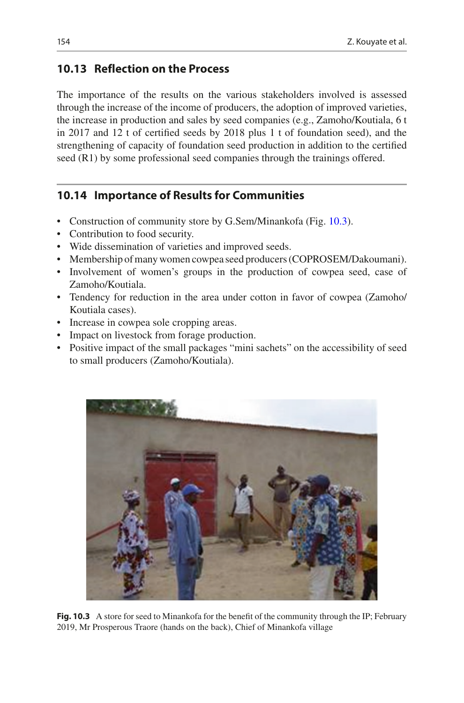# **10.13 Reflection on the Process**

The importance of the results on the various stakeholders involved is assessed through the increase of the income of producers, the adoption of improved varieties, the increase in production and sales by seed companies (e.g., Zamoho/Koutiala, 6 t in 2017 and 12 t of certifed seeds by 2018 plus 1 t of foundation seed), and the strengthening of capacity of foundation seed production in addition to the certifed seed (R1) by some professional seed companies through the trainings offered.

# **10.14 Importance of Results for Communities**

- Construction of community store by G.Sem/Minankofa (Fig. [10.3\)](#page-11-0).
- Contribution to food security.
- Wide dissemination of varieties and improved seeds.
- Membership of many women cowpea seed producers (COPROSEM/Dakoumani).
- Involvement of women's groups in the production of cowpea seed, case of Zamoho/Koutiala.
- Tendency for reduction in the area under cotton in favor of cowpea (Zamoho/ Koutiala cases).
- Increase in cowpea sole cropping areas.
- Impact on livestock from forage production.
- Positive impact of the small packages "mini sachets" on the accessibility of seed to small producers (Zamoho/Koutiala).

<span id="page-11-0"></span>

**Fig. 10.3** A store for seed to Minankofa for the benefit of the community through the IP; February 2019, Mr Prosperous Traore (hands on the back), Chief of Minankofa village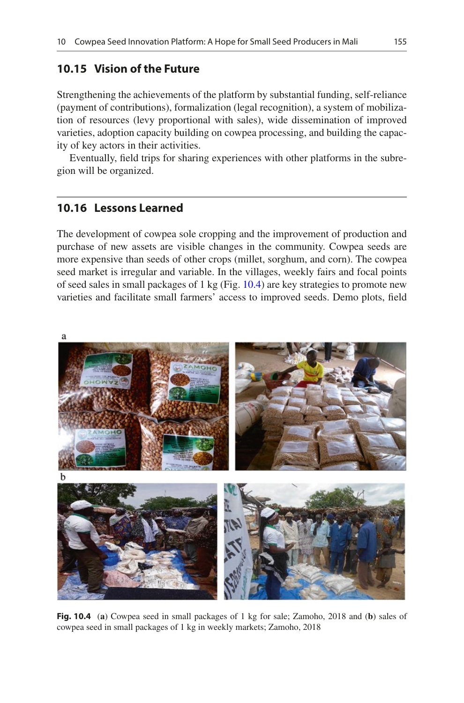## **10.15 Vision of the Future**

Strengthening the achievements of the platform by substantial funding, self-reliance (payment of contributions), formalization (legal recognition), a system of mobilization of resources (levy proportional with sales), wide dissemination of improved varieties, adoption capacity building on cowpea processing, and building the capacity of key actors in their activities.

Eventually, feld trips for sharing experiences with other platforms in the subregion will be organized.

#### **10.16 Lessons Learned**

The development of cowpea sole cropping and the improvement of production and purchase of new assets are visible changes in the community. Cowpea seeds are more expensive than seeds of other crops (millet, sorghum, and corn). The cowpea seed market is irregular and variable. In the villages, weekly fairs and focal points of seed sales in small packages of 1 kg (Fig.  $10.4$ ) are key strategies to promote new varieties and facilitate small farmers' access to improved seeds. Demo plots, feld

<span id="page-12-0"></span>

**Fig. 10.4** (**a**) Cowpea seed in small packages of 1 kg for sale; Zamoho, 2018 and (**b**) sales of cowpea seed in small packages of 1 kg in weekly markets; Zamoho, 2018